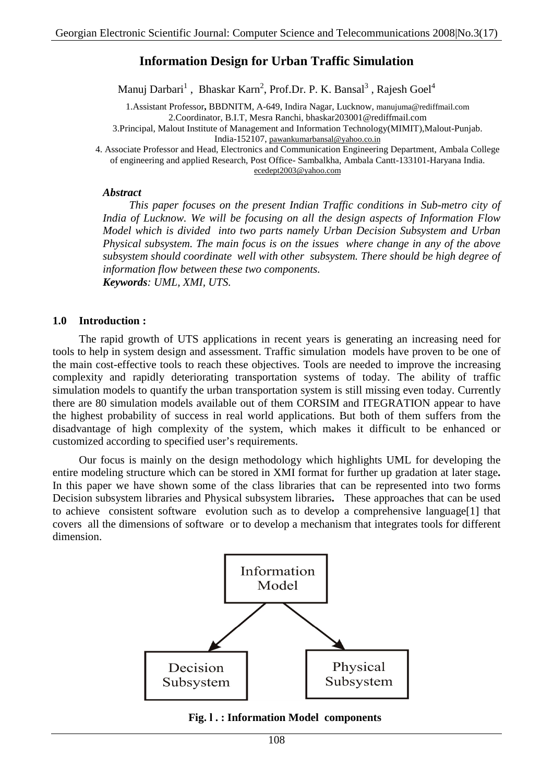# **Information Design for Urban Traffic Simulation**

Manuj Darbari<sup>1</sup>, Bhaskar Karn<sup>2</sup>, Prof.Dr. P. K. Bansal<sup>3</sup>, Rajesh Goel<sup>4</sup>

1.Assistant Professor**,** BBDNITM, A-649, Indira Nagar, Lucknow, manujuma@rediffmail.com 2.Coordinator, B.I.T, Mesra Ranchi, bhaskar203001@rediffmail.com 3.Principal, Malout Institute of Management and Information Technology(MIMIT),Malout-Punjab.

India-152107, pawankumarbansal@yahoo.co.in

4. Associate Professor and Head, Electronics and Communication Engineering Department, Ambala College of engineering and applied Research, Post Office- Sambalkha, Ambala Cantt-133101-Haryana India. ecedept2003@yahoo.com

#### *Abstract*

*This paper focuses on the present Indian Traffic conditions in Sub-metro city of India of Lucknow. We will be focusing on all the design aspects of Information Flow Model which is divided into two parts namely Urban Decision Subsystem and Urban Physical subsystem. The main focus is on the issues where change in any of the above subsystem should coordinate well with other subsystem. There should be high degree of information flow between these two components. Keywords: UML, XMI, UTS.*

#### **1.0 Introduction :**

The rapid growth of UTS applications in recent years is generating an increasing need for tools to help in system design and assessment. Traffic simulation models have proven to be one of the main cost-effective tools to reach these objectives. Tools are needed to improve the increasing complexity and rapidly deteriorating transportation systems of today. The ability of traffic simulation models to quantify the urban transportation system is still missing even today. Currently there are 80 simulation models available out of them CORSIM and ITEGRATION appear to have the highest probability of success in real world applications. But both of them suffers from the disadvantage of high complexity of the system, which makes it difficult to be enhanced or customized according to specified user's requirements.

Our focus is mainly on the design methodology which highlights UML for developing the entire modeling structure which can be stored in XMI format for further up gradation at later stage**.** In this paper we have shown some of the class libraries that can be represented into two forms Decision subsystem libraries and Physical subsystem libraries**.** These approaches that can be used to achieve consistent software evolution such as to develop a comprehensive language[1] that covers all the dimensions of software or to develop a mechanism that integrates tools for different dimension.



#### **Fig. l . : Information Model components**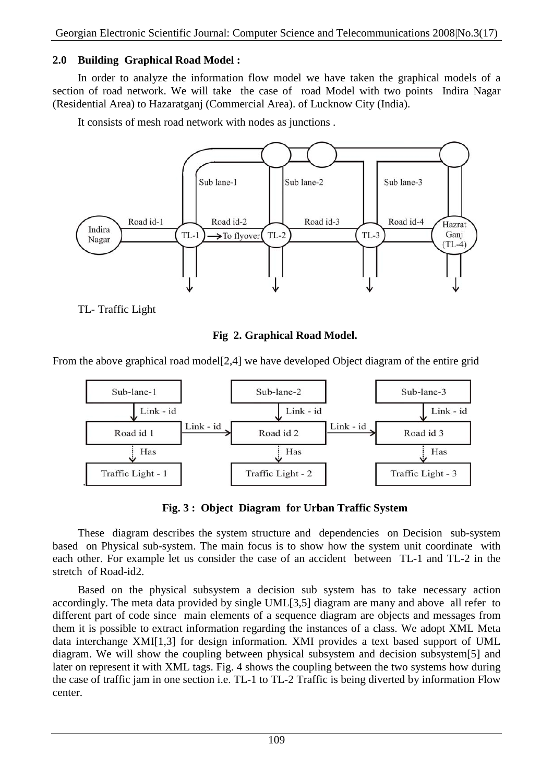## **2.0 Building Graphical Road Model :**

In order to analyze the information flow model we have taken the graphical models of a section of road network. We will take the case of road Model with two points Indira Nagar (Residential Area) to Hazaratganj (Commercial Area). of Lucknow City (India).

It consists of mesh road network with nodes as junctions .



TL- Traffic Light

#### **Fig 2. Graphical Road Model.**

From the above graphical road model<sup>[2,4]</sup> we have developed Object diagram of the entire grid



**Fig. 3 : Object Diagram for Urban Traffic System**

These diagram describes the system structure and dependencies on Decision sub-system based on Physical sub-system. The main focus is to show how the system unit coordinate with each other. For example let us consider the case of an accident between TL-1 and TL-2 in the stretch of Road-id2.

Based on the physical subsystem a decision sub system has to take necessary action accordingly. The meta data provided by single UML[3,5] diagram are many and above all refer to different part of code since main elements of a sequence diagram are objects and messages from them it is possible to extract information regarding the instances of a class. We adopt XML Meta data interchange XMI[1,3] for design information. XMI provides a text based support of UML diagram. We will show the coupling between physical subsystem and decision subsystem[5] and later on represent it with XML tags. Fig. 4 shows the coupling between the two systems how during the case of traffic jam in one section i.e. TL-1 to TL-2 Traffic is being diverted by information Flow center.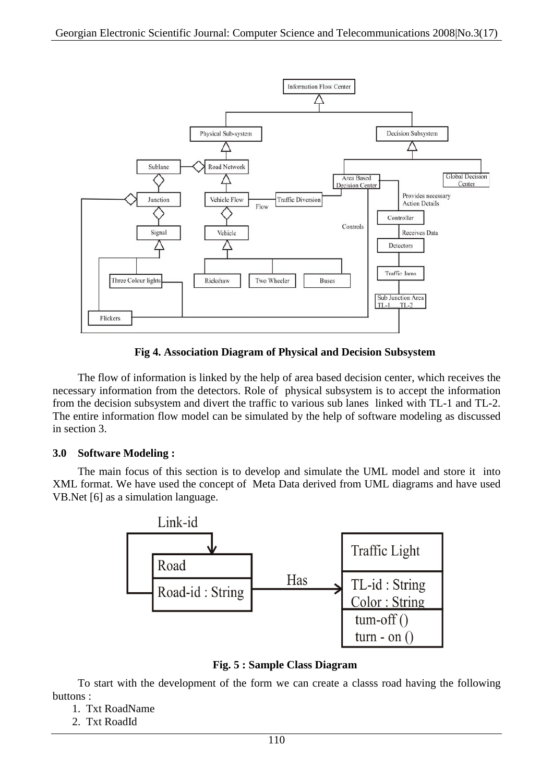

**Fig 4. Association Diagram of Physical and Decision Subsystem**

The flow of information is linked by the help of area based decision center, which receives the necessary information from the detectors. Role of physical subsystem is to accept the information from the decision subsystem and divert the traffic to various sub lanes linked with TL-1 and TL-2. The entire information flow model can be simulated by the help of software modeling as discussed in section 3.

#### **3.0 Software Modeling :**

The main focus of this section is to develop and simulate the UML model and store it into XML format. We have used the concept of Meta Data derived from UML diagrams and have used VB.Net [6] as a simulation language.



**Fig. 5 : Sample Class Diagram**

To start with the development of the form we can create a classs road having the following buttons :

- 1. Txt RoadName
- 2. Txt RoadId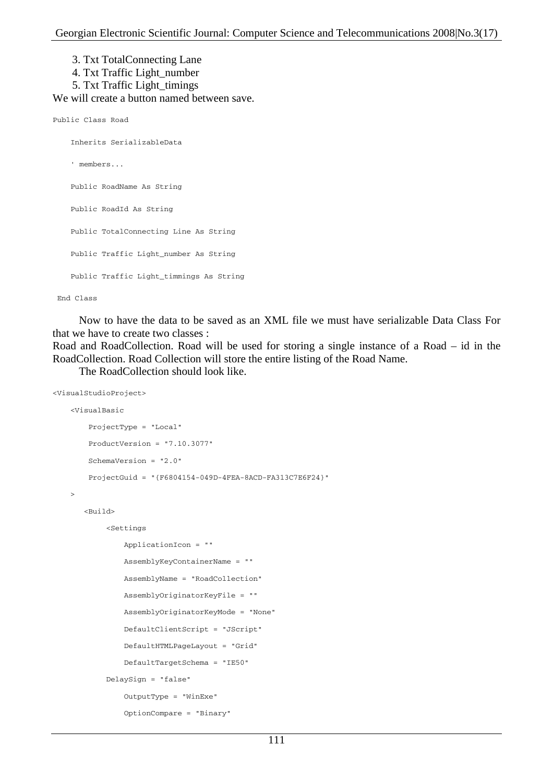3. Txt TotalConnecting Lane

- 4. Txt Traffic Light\_number
- 5. Txt Traffic Light\_timings

We will create a button named between save.

```
Public Class Road
```
 Inherits SerializableData ' members... Public RoadName As String Public RoadId As String Public TotalConnecting Line As String Public Traffic Light\_number As String Public Traffic Light\_timmings As String

#### End Class

Now to have the data to be saved as an XML file we must have serializable Data Class For that we have to create two classes :

Road and RoadCollection. Road will be used for storing a single instance of a Road – id in the RoadCollection. Road Collection will store the entire listing of the Road Name.

The RoadCollection should look like.

```
<VisualStudioProject>
     <VisualBasic
         ProjectType = "Local"
         ProductVersion = "7.10.3077"
         SchemaVersion = "2.0"
         ProjectGuid = "{F6804154-049D-4FEA-8ACD-FA313C7E6F24}"
    \ddot{\phantom{1}} <Build>
              <Settings
                  ApplicationIcon = ""
                  AssemblyKeyContainerName = ""
                  AssemblyName = "RoadCollection"
                  AssemblyOriginatorKeyFile = ""
                  AssemblyOriginatorKeyMode = "None"
                  DefaultClientScript = "JScript"
                  DefaultHTMLPageLayout = "Grid"
                  DefaultTargetSchema = "IE50"
              DelaySign = "false"
                  OutputType = "WinExe"
                  OptionCompare = "Binary"
```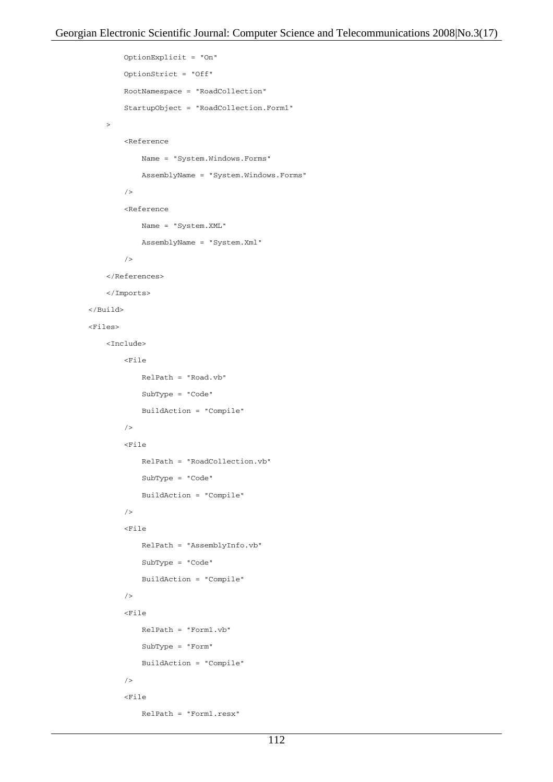```
 OptionExplicit = "On"
                 OptionStrict = "Off"
                 RootNamespace = "RoadCollection"
                 StartupObject = "RoadCollection.Form1"
 >
                 <Reference
                     Name = "System.Windows.Forms"
                     AssemblyName = "System.Windows.Forms"
                / <Reference
                     Name = "System.XML"
                      AssemblyName = "System.Xml"
                 />
             </References>
             </Imports>
         </Build>
         <Files>
             <Include>
                 <File
                     RelPath = "Road.vb"
                     SubType = "Code"
                     BuildAction = "Compile"
                /<sub>Fi1e</sub></sub>
                     RelPath = "RoadCollection.vb"
                     SubType = "Code"
                      BuildAction = "Compile"
                / <File
                     RelPath = "AssemblyInfo.vb"
                      SubType = "Code"
                      BuildAction = "Compile"
                / <File
                     RelPath = "Form1.vb"
                     SubType = "Form"
                     BuildAction = "Compile"
                 />
                 <File
                      RelPath = "Form1.resx"
```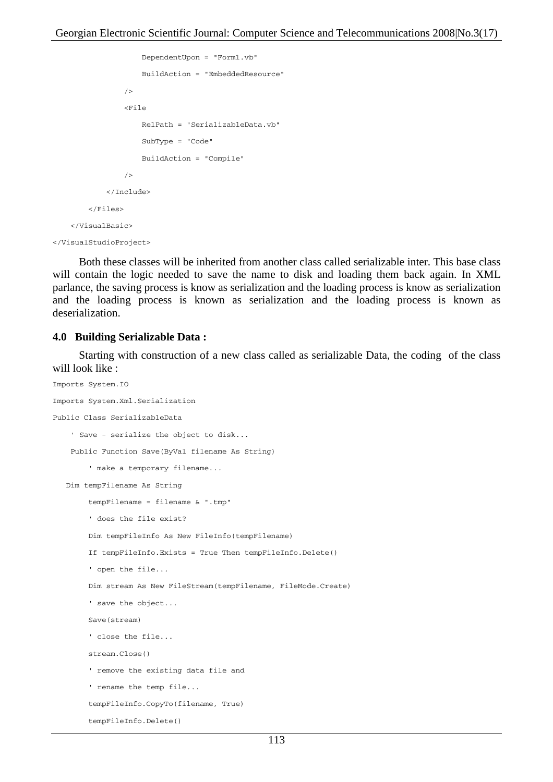```
 DependentUpon = "Form1.vb"
                   BuildAction = "EmbeddedResource"
 />
               <File
                   RelPath = "SerializableData.vb"
                   SubType = "Code"
                   BuildAction = "Compile"
 />
           </Include>
        </Files>
    </VisualBasic>
```

```
</VisualStudioProject>
```
Both these classes will be inherited from another class called serializable inter. This base class will contain the logic needed to save the name to disk and loading them back again. In XML parlance, the saving process is know as serialization and the loading process is know as serialization and the loading process is known as serialization and the loading process is known as deserialization.

#### **4.0 Building Serializable Data :**

Starting with construction of a new class called as serializable Data, the coding of the class will look like :

```
Imports System.IO
Imports System.Xml.Serialization
Public Class SerializableData
     ' Save - serialize the object to disk...
     Public Function Save(ByVal filename As String)
         ' make a temporary filename...
    Dim tempFilename As String
         tempFilename = filename & ".tmp"
         ' does the file exist?
         Dim tempFileInfo As New FileInfo(tempFilename)
         If tempFileInfo.Exists = True Then tempFileInfo.Delete()
         ' open the file...
         Dim stream As New FileStream(tempFilename, FileMode.Create)
         ' save the object...
         Save(stream)
         ' close the file...
         stream.Close()
         ' remove the existing data file and
         ' rename the temp file...
         tempFileInfo.CopyTo(filename, True)
         tempFileInfo.Delete()
```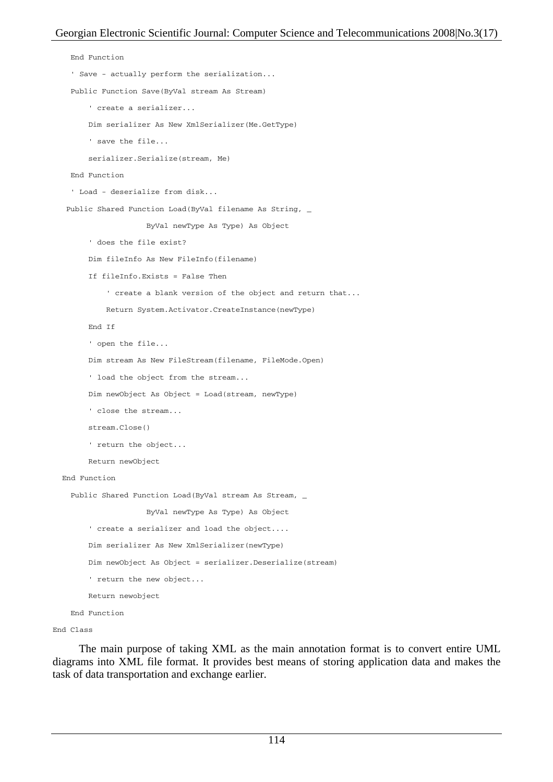```
 End Function
   ' Save - actually perform the serialization...
  Public Function Save(ByVal stream As Stream)
       ' create a serializer...
       Dim serializer As New XmlSerializer(Me.GetType)
       ' save the file...
       serializer.Serialize(stream, Me)
  End Function
   ' Load - deserialize from disk...
Public Shared Function Load(ByVal filename As String, _
                    ByVal newType As Type) As Object
       ' does the file exist?
       Dim fileInfo As New FileInfo(filename)
       If fileInfo.Exists = False Then
           ' create a blank version of the object and return that...
           Return System.Activator.CreateInstance(newType)
       End If
       ' open the file...
       Dim stream As New FileStream(filename, FileMode.Open)
       ' load the object from the stream...
       Dim newObject As Object = Load(stream, newType)
       ' close the stream...
       stream.Close()
       ' return the object...
       Return newObject
 End Function
 Public Shared Function Load(ByVal stream As Stream, _
                    ByVal newType As Type) As Object
       ' create a serializer and load the object....
       Dim serializer As New XmlSerializer(newType)
       Dim newObject As Object = serializer.Deserialize(stream)
       ' return the new object...
      Return newobject
  End Function
```

```
End Class
```
The main purpose of taking XML as the main annotation format is to convert entire UML diagrams into XML file format. It provides best means of storing application data and makes the task of data transportation and exchange earlier.